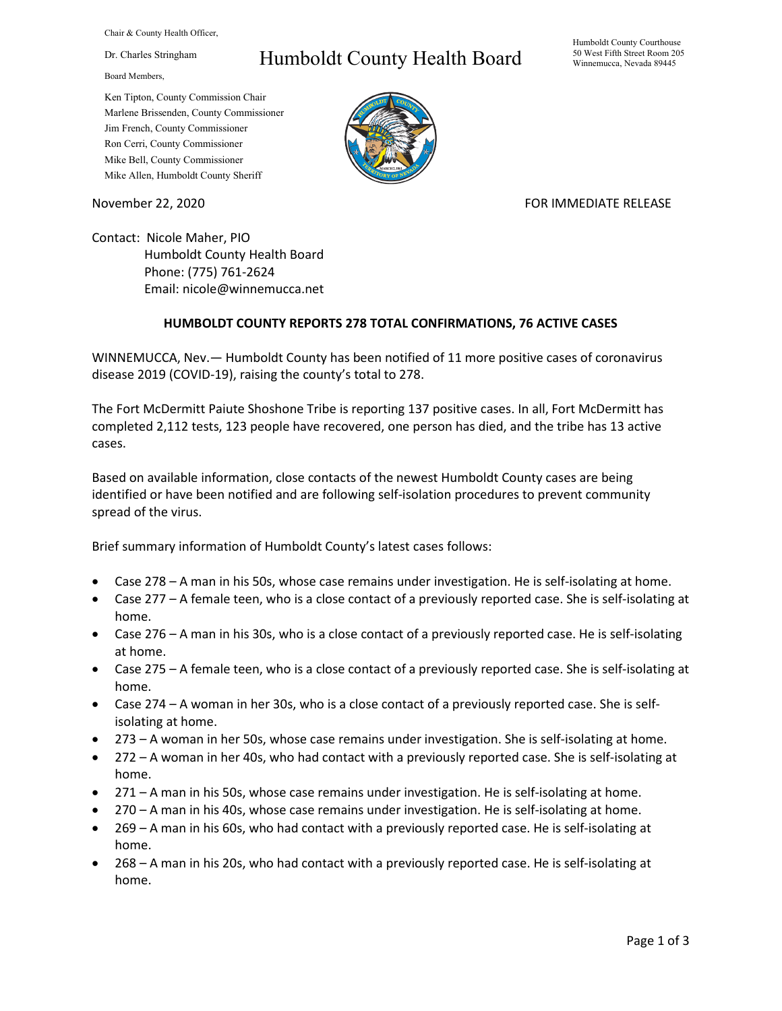Chair & County Health Officer,

Dr. Charles Stringham

Board Members,

## Humboldt County Health Board

Humboldt County Courthouse 50 West Fifth Street Room 205 Winnemucca, Nevada 89445

Ken Tipton, County Commission Chair Marlene Brissenden, County Commissioner Jim French, County Commissioner Ron Cerri, County Commissioner Mike Bell, County Commissioner Mike Allen, Humboldt County Sheriff

November 22, 2020 **FOR IMMEDIATE RELEASE** 

Contact: Nicole Maher, PIO Humboldt County Health Board Phone: (775) 761-2624 Email: nicole@winnemucca.net

## **HUMBOLDT COUNTY REPORTS 278 TOTAL CONFIRMATIONS, 76 ACTIVE CASES**

WINNEMUCCA, Nev.— Humboldt County has been notified of 11 more positive cases of coronavirus disease 2019 (COVID-19), raising the county's total to 278.

The Fort McDermitt Paiute Shoshone Tribe is reporting 137 positive cases. In all, Fort McDermitt has completed 2,112 tests, 123 people have recovered, one person has died, and the tribe has 13 active cases.

Based on available information, close contacts of the newest Humboldt County cases are being identified or have been notified and are following self-isolation procedures to prevent community spread of the virus.

Brief summary information of Humboldt County's latest cases follows:

- Case 278 A man in his 50s, whose case remains under investigation. He is self-isolating at home.
- Case 277 A female teen, who is a close contact of a previously reported case. She is self-isolating at home.
- Case 276 A man in his 30s, who is a close contact of a previously reported case. He is self-isolating at home.
- Case 275 A female teen, who is a close contact of a previously reported case. She is self-isolating at home.
- Case 274 A woman in her 30s, who is a close contact of a previously reported case. She is selfisolating at home.
- 273 A woman in her 50s, whose case remains under investigation. She is self-isolating at home.
- 272 A woman in her 40s, who had contact with a previously reported case. She is self-isolating at home.
- 271 A man in his 50s, whose case remains under investigation. He is self-isolating at home.
- 270 A man in his 40s, whose case remains under investigation. He is self-isolating at home.
- 269 A man in his 60s, who had contact with a previously reported case. He is self-isolating at home.
- 268 A man in his 20s, who had contact with a previously reported case. He is self-isolating at home.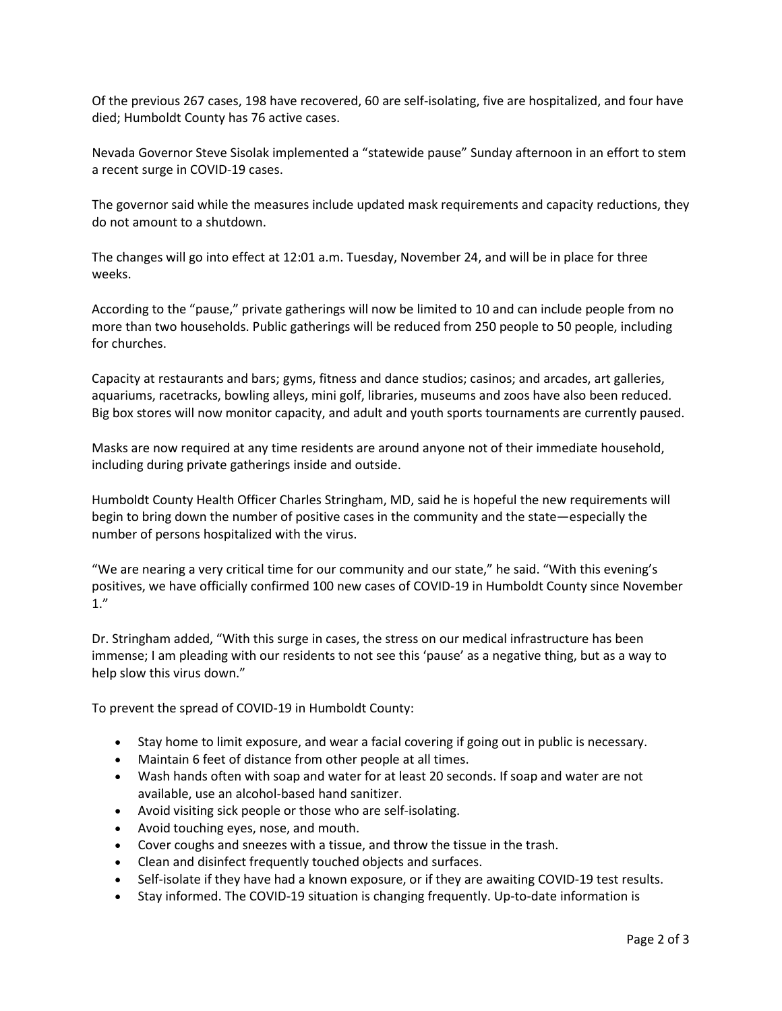Of the previous 267 cases, 198 have recovered, 60 are self-isolating, five are hospitalized, and four have died; Humboldt County has 76 active cases.

Nevada Governor Steve Sisolak implemented a "statewide pause" Sunday afternoon in an effort to stem a recent surge in COVID-19 cases.

The governor said while the measures include updated mask requirements and capacity reductions, they do not amount to a shutdown.

The changes will go into effect at 12:01 a.m. Tuesday, November 24, and will be in place for three weeks.

According to the "pause," private gatherings will now be limited to 10 and can include people from no more than two households. Public gatherings will be reduced from 250 people to 50 people, including for churches.

Capacity at restaurants and bars; gyms, fitness and dance studios; casinos; and arcades, art galleries, aquariums, racetracks, bowling alleys, mini golf, libraries, museums and zoos have also been reduced. Big box stores will now monitor capacity, and adult and youth sports tournaments are currently paused.

Masks are now required at any time residents are around anyone not of their immediate household, including during private gatherings inside and outside.

Humboldt County Health Officer Charles Stringham, MD, said he is hopeful the new requirements will begin to bring down the number of positive cases in the community and the state—especially the number of persons hospitalized with the virus.

"We are nearing a very critical time for our community and our state," he said. "With this evening's positives, we have officially confirmed 100 new cases of COVID-19 in Humboldt County since November 1."

Dr. Stringham added, "With this surge in cases, the stress on our medical infrastructure has been immense; I am pleading with our residents to not see this 'pause' as a negative thing, but as a way to help slow this virus down."

To prevent the spread of COVID-19 in Humboldt County:

- Stay home to limit exposure, and wear a facial covering if going out in public is necessary.
- Maintain 6 feet of distance from other people at all times.
- Wash hands often with soap and water for at least 20 seconds. If soap and water are not available, use an alcohol-based hand sanitizer.
- Avoid visiting sick people or those who are self-isolating.
- Avoid touching eyes, nose, and mouth.
- Cover coughs and sneezes with a tissue, and throw the tissue in the trash.
- Clean and disinfect frequently touched objects and surfaces.
- Self-isolate if they have had a known exposure, or if they are awaiting COVID-19 test results.
- Stay informed. The COVID-19 situation is changing frequently. Up-to-date information is